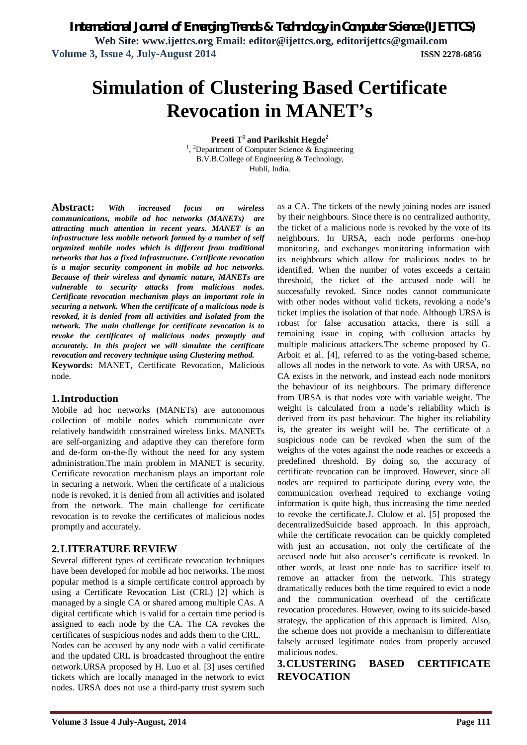*International Journal of Emerging Trends & Technology in Computer Science (IJETTCS)* **Web Site: www.ijettcs.org Email: editor@ijettcs.org, editorijettcs@gmail.com** 

**Volume 3, Issue 4, July-August 2014 ISSN 2278-6856**

# **Simulation of Clustering Based Certificate Revocation in MANET's**

**Preeti T<sup>1</sup>and Parikshit Hegde<sup>2</sup>**

<sup>1</sup>, <sup>2</sup>Department of Computer Science & Engineering B.V.B.College of Engineering & Technology, Hubli, India.

**Abstract:** *With increased focus on wireless communications, mobile ad hoc networks (MANETs) are attracting much attention in recent years. MANET is an infrastructure less mobile network formed by a number of self organized mobile nodes which is different from traditional networks that has a fixed infrastructure. Certificate revocation is a major security component in mobile ad hoc networks. Because of their wireless and dynamic nature, MANETs are vulnerable to security attacks from malicious nodes. Certificate revocation mechanism plays an important role in securing a network. When the certificate of a malicious node is revoked, it is denied from all activities and isolated from the network. The main challenge for certificate revocation is to revoke the certificates of malicious nodes promptly and accurately. In this project we will simulate the certificate revocation and recovery technique using Clustering method.* **Keywords:** MANET, Certificate Revocation, Malicious

# **1.Introduction**

node.

Mobile ad hoc networks (MANETs) are autonomous collection of mobile nodes which communicate over relatively bandwidth constrained wireless links. MANETs are self-organizing and adaptive they can therefore form and de-form on-the-fly without the need for any system administration.The main problem in MANET is security. Certificate revocation mechanism plays an important role in securing a network. When the certificate of a malicious node is revoked, it is denied from all activities and isolated from the network. The main challenge for certificate revocation is to revoke the certificates of malicious nodes promptly and accurately.

## **2.LITERATURE REVIEW**

Several different types of certificate revocation techniques have been developed for mobile ad hoc networks. The most popular method is a simple certificate control approach by using a Certificate Revocation List (CRL) [2] which is managed by a single CA or shared among multiple CAs. A digital certificate which is valid for a certain time period is assigned to each node by the CA. The CA revokes the certificates of suspicious nodes and adds them to the CRL. Nodes can be accused by any node with a valid certificate and the updated CRL is broadcasted throughout the entire network.URSA proposed by H. Luo et al. [3] uses certified tickets which are locally managed in the network to evict nodes. URSA does not use a third-party trust system such as a CA. The tickets of the newly joining nodes are issued by their neighbours. Since there is no centralized authority, the ticket of a malicious node is revoked by the vote of its neighbours. In URSA, each node performs one-hop monitoring, and exchanges monitoring information with its neighbours which allow for malicious nodes to be identified. When the number of votes exceeds a certain threshold, the ticket of the accused node will be successfully revoked. Since nodes cannot communicate with other nodes without valid tickets, revoking a node's ticket implies the isolation of that node. Although URSA is robust for false accusation attacks, there is still a remaining issue in coping with collusion attacks by multiple malicious attackers.The scheme proposed by G. Arboit et al. [4], referred to as the voting-based scheme, allows all nodes in the network to vote. As with URSA, no CA exists in the network, and instead each node monitors the behaviour of its neighbours. The primary difference from URSA is that nodes vote with variable weight. The weight is calculated from a node's reliability which is derived from its past behaviour. The higher its reliability is, the greater its weight will be. The certificate of a suspicious node can be revoked when the sum of the weights of the votes against the node reaches or exceeds a predefined threshold. By doing so, the accuracy of certificate revocation can be improved. However, since all nodes are required to participate during every vote, the communication overhead required to exchange voting information is quite high, thus increasing the time needed to revoke the certificate.J. Clulow et al. [5] proposed the decentralizedSuicide based approach. In this approach, while the certificate revocation can be quickly completed with just an accusation, not only the certificate of the accused node but also accuser's certificate is revoked. In other words, at least one node has to sacrifice itself to remove an attacker from the network. This strategy dramatically reduces both the time required to evict a node and the communication overhead of the certificate revocation procedures. However, owing to its suicide-based strategy, the application of this approach is limited. Also, the scheme does not provide a mechanism to differentiate falsely accused legitimate nodes from properly accused malicious nodes.

**3.CLUSTERING BASED CERTIFICATE REVOCATION**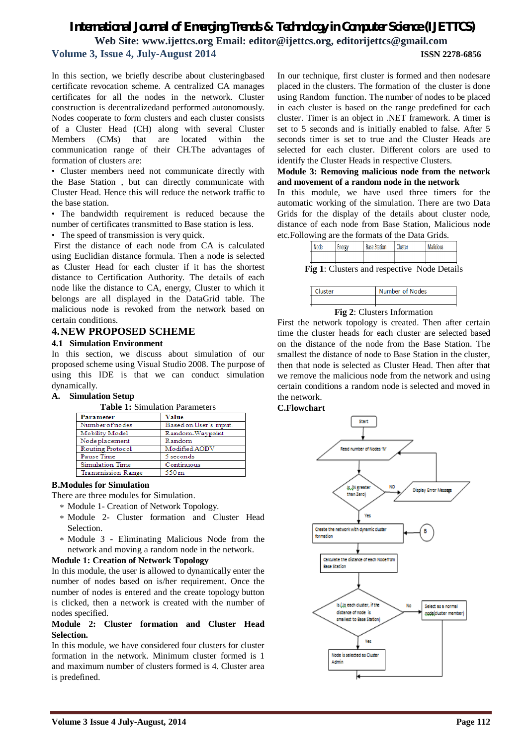## *International Journal of Emerging Trends & Technology in Computer Science (IJETTCS)* **Web Site: www.ijettcs.org Email: editor@ijettcs.org, editorijettcs@gmail.com Volume 3, Issue 4, July-August 2014 ISSN 2278-6856**

In this section, we briefly describe about clusteringbased certificate revocation scheme. A centralized CA manages certificates for all the nodes in the network. Cluster construction is decentralizedand performed autonomously. Nodes cooperate to form clusters and each cluster consists of a Cluster Head (CH) along with several Cluster Members (CMs) that are located within the communication range of their CH.The advantages of formation of clusters are:

• Cluster members need not communicate directly with the Base Station , but can directly communicate with Cluster Head. Hence this will reduce the network traffic to the base station.

• The bandwidth requirement is reduced because the number of certificates transmitted to Base station is less.

• The speed of transmission is very quick.

First the distance of each node from CA is calculated using Euclidian distance formula. Then a node is selected as Cluster Head for each cluster if it has the shortest distance to Certification Authority. The details of each node like the distance to CA, energy, Cluster to which it belongs are all displayed in the DataGrid table. The malicious node is revoked from the network based on certain conditions.

#### **4.NEW PROPOSED SCHEME**

#### **4.1 Simulation Environment**

In this section, we discuss about simulation of our proposed scheme using Visual Studio 2008. The purpose of using this IDE is that we can conduct simulation dynamically.

#### **A. Simulation Setup**

**Table 1:** Simulation Parameters

| Parameter                 | Value                  |
|---------------------------|------------------------|
| Number of nodes           | Based on User's input. |
| Mobility Model            | Random-Waypoint        |
| Node placement            | Random                 |
| <b>Routing Protocol</b>   | Modified AODV          |
| Pause Time                | 5 seconds              |
| <b>Simulation Time</b>    | Continuous             |
| <b>Transmission Range</b> | 550m                   |

#### **B.Modules for Simulation**

There are three modules for Simulation.

- Module 1- Creation of Network Topology.
- Module 2- Cluster formation and Cluster Head Selection.
- Module 3 Eliminating Malicious Node from the network and moving a random node in the network.

#### **Module 1: Creation of Network Topology**

In this module, the user is allowed to dynamically enter the number of nodes based on is/her requirement. Once the number of nodes is entered and the create topology button is clicked, then a network is created with the number of nodes specified.

#### **Module 2: Cluster formation and Cluster Head Selection.**

In this module, we have considered four clusters for cluster formation in the network. Minimum cluster formed is 1 and maximum number of clusters formed is 4. Cluster area is predefined.

In our technique, first cluster is formed and then nodesare placed in the clusters. The formation of the cluster is done using Random function. The number of nodes to be placed in each cluster is based on the range predefined for each cluster. Timer is an object in .NET framework. A timer is set to 5 seconds and is initially enabled to false. After 5 seconds timer is set to true and the Cluster Heads are selected for each cluster. Different colors are used to identify the Cluster Heads in respective Clusters.

**Module 3: Removing malicious node from the network and movement of a random node in the network**

In this module, we have used three timers for the automatic working of the simulation. There are two Data Grids for the display of the details about cluster node, distance of each node from Base Station, Malicious node etc.Following are the formats of the Data Grids.

| Node | ergy | <b>Base Station</b> | A.<br>luster | <b>POLIS</b> |
|------|------|---------------------|--------------|--------------|
|      |      |                     |              |              |

**Fig 1**: Clusters and respective Node Details



**Fig 2**: Clusters Information

First the network topology is created. Then after certain time the cluster heads for each cluster are selected based on the distance of the node from the Base Station. The smallest the distance of node to Base Station in the cluster, then that node is selected as Cluster Head. Then after that we remove the malicious node from the network and using certain conditions a random node is selected and moved in the network.